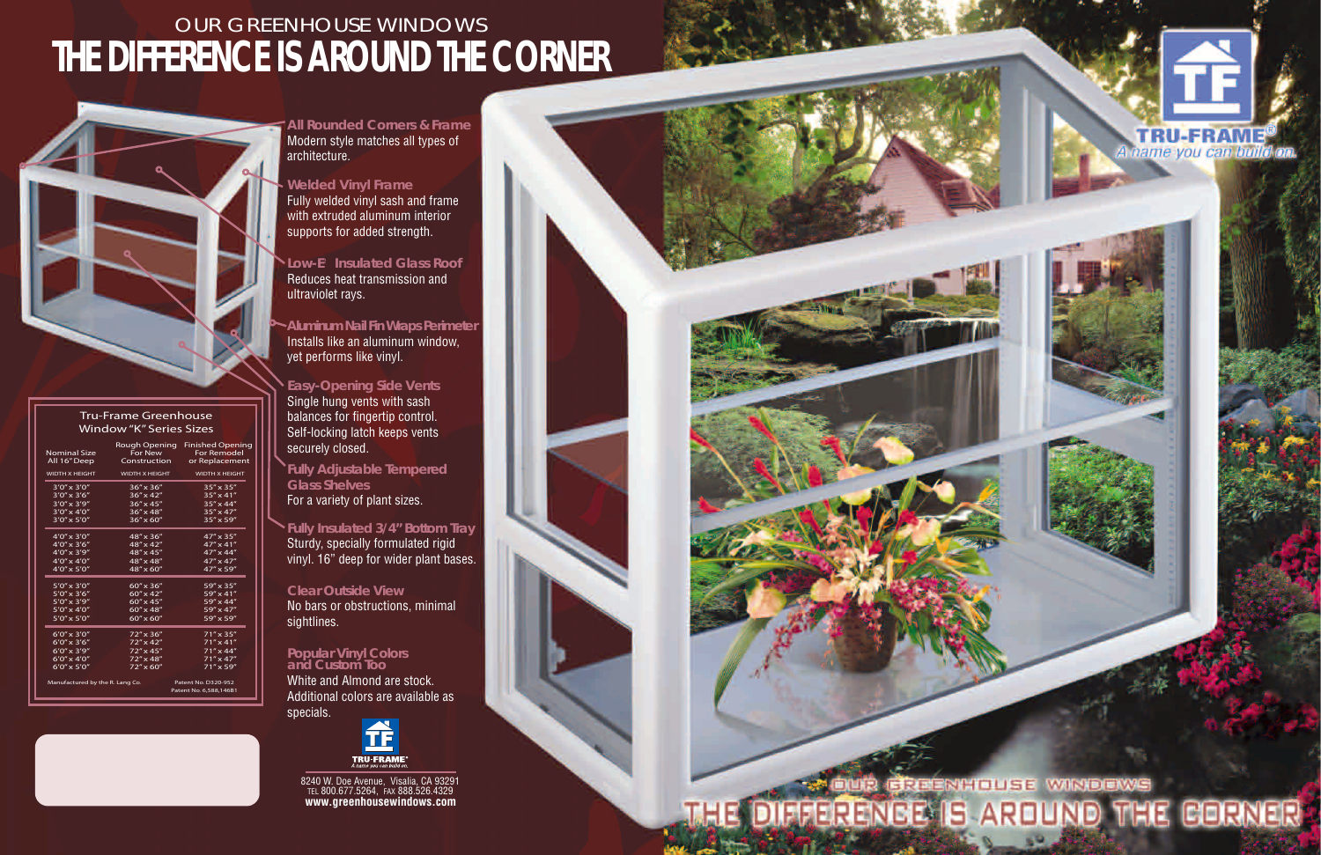**All Rounded Corners & Frame** Modern style matches all types of architecture.

#### **Welded Vinyl Frame**

Low-E<sup>2</sup> Insulated Glass Roof Reduces heat transmission and ultraviolet rays.

Fully welded vinyl sash and frame with extruded aluminum interior supports for added strength.

**Aluminum Nail Fin Wraps Perimeter** Installs like an aluminum window, yet performs like vinyl.

**Easy-Opening Side Vents** Single hung vents with sash balances for fingertip control. Self-locking latch keeps vents securely closed.

**Fully Adjustable Tempered Glass Shelves** For a variety of plant sizes.

**Fully Insulated 3/4" Bottom Tray** Sturdy, specially formulated rigid vinyl. 16" deep for wider plant bases.

#### **Clear Outside View**

No bars or obstructions, minimal sightlines.

#### **Popular Vinyl Colors and Custom Too**

White and Almond are stock. Additional colors are available as specials.



#### **Tru-Frame Greenhouse Window "K" Series Sizes**

|                                 | <b>Nominal Size</b><br>All 16" Deep | Rough Opening<br>For New<br>Construction | <b>Finished Opening</b><br><b>For Remodel</b><br>or Replacement |
|---------------------------------|-------------------------------------|------------------------------------------|-----------------------------------------------------------------|
|                                 | <b>WIDTH X HEIGHT</b>               | <b>WIDTH X HEIGHT</b>                    | <b>WIDTH X HEIGHT</b>                                           |
|                                 | $3'0'' \times 3'0''$                | 36" x 36"                                | $35'' \times 35''$                                              |
|                                 | $3'0'' \times 3'6''$                | $36'' \times 42''$                       | $35'' \times 41''$                                              |
|                                 | $3'0'' \times 3'9''$                | $36'' \times 45''$                       | $35'' \times 44''$                                              |
|                                 | $3'0'' \times 4'0''$                | $36'' \times 48''$                       | $35'' \times 47''$                                              |
|                                 | $3'0'' \times 5'0''$                | $36'' \times 60''$                       | $35'' \times 59''$                                              |
|                                 | $4'0'' \times 3'0''$                | 48" x 36"                                | $47'' \times 35''$                                              |
|                                 | $4'0'' \times 3'6''$                | 48" x 42"                                | $47'' \times 41''$                                              |
|                                 | $4'0'' \times 3'9''$                | 48" x 45"                                | $47'' \times 44''$                                              |
|                                 | $4'0'' \times 4'0''$                | 48" x 48"                                | $47'' \times 47''$                                              |
|                                 | $4'0'' \times 5'0''$                | 48" x 60"                                | 47" x 59"                                                       |
|                                 | $5'0''$ x 3'0"                      | $60'' \times 36''$                       | 59" x 35"                                                       |
|                                 | $5'0'' \times 3'6''$                | 60" x 42"                                | 59" x 41"                                                       |
|                                 | $5'0'' \times 3'9''$                | $60'' \times 45''$                       | 59" x 44"                                                       |
|                                 | $5'0'' \times 4'0''$                | 60" x 48"                                | 59" x 47"                                                       |
|                                 | $5'0'' \times 5'0''$                | $60'' \times 60''$                       | 59" x 59"                                                       |
|                                 | $6'0'' \times 3'0''$                | 72" x 36"                                | $71''$ x 35"                                                    |
|                                 | $6'0'' \times 3'6''$                | $72'' \times 42''$                       | $71'' \times 41''$                                              |
|                                 | $6'0'' \times 3'9''$                | $72'' \times 45''$                       | $71'' \times 44''$                                              |
|                                 | $6'0'' \times 4'0''$                | $72'' \times 48''$                       | $71'' \times 47''$                                              |
|                                 | $6'0'' \times 5'0''$                | $72'' \times 60''$                       | $71''$ x 59"                                                    |
| Manufactured by the R. Lang Co. |                                     |                                          | Patent No. D320-952                                             |
|                                 |                                     |                                          | Patent No. 6,588,146B1                                          |

### OUR GREENHOUSE WINDOWS **THE DIFFERENCE IS AROUND THE CORNER**



8240 W. Doe Avenue, Visalia, CA 93291 TEL 800.677.5264, FAX 888.526.4329 **www.greenhousewindows.com**



# THE DIFFERENCE IS AROUND THE CORNER

**TRU-FRAM** A name you can build on